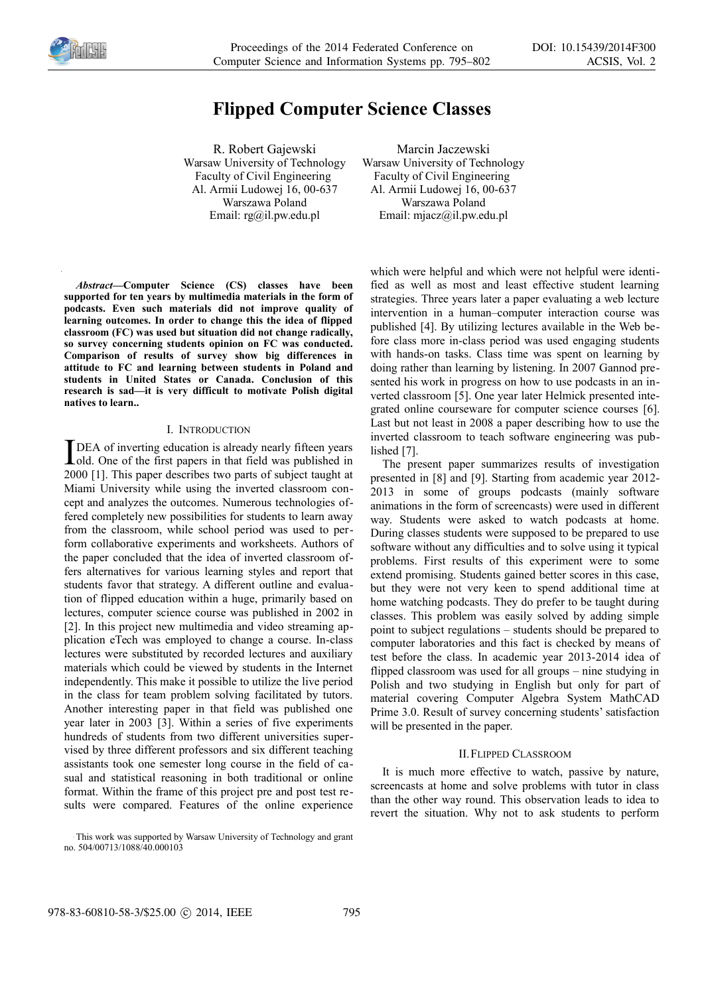

# **Flipped Computer Science Classes**

R. Robert Gajewski Warsaw University of Technology Faculty of Civil Engineering Al. Armii Ludowej 16, 00-637 Warszawa Poland Email: rg@il.pw.edu.pl

Marcin Jaczewski Warsaw University of Technology Faculty of Civil Engineering Al. Armii Ludowej 16, 00-637 Warszawa Poland Email: mjacz@il.pw.edu.pl

*Abstract—***Computer Science (CS) classes have been supported for ten years by multimedia materials in the form of podcasts. Even such materials did not improve quality of learning outcomes. In order to change this the idea of flipped classroom (FC) was used but situation did not change radically, so survey concerning students opinion on FC was conducted. Comparison of results of survey show big differences in attitude to FC and learning between students in Poland and students in United States or Canada. Conclusion of this research is sad—it is very difficult to motivate Polish digital natives to learn..** 

#### I. INTRODUCTION

DEA of inverting education is already nearly fifteen years **T** DEA of inverting education is already nearly fifteen years<br>old. One of the first papers in that field was published in 2000 [1]. This paper describes two parts of subject taught at Miami University while using the inverted classroom concept and analyzes the outcomes. Numerous technologies offered completely new possibilities for students to learn away from the classroom, while school period was used to perform collaborative experiments and worksheets. Authors of the paper concluded that the idea of inverted classroom offers alternatives for various learning styles and report that students favor that strategy. A different outline and evaluation of flipped education within a huge, primarily based on lectures, computer science course was published in 2002 in [2]. In this project new multimedia and video streaming application eTech was employed to change a course. In-class lectures were substituted by recorded lectures and auxiliary materials which could be viewed by students in the Internet independently. This make it possible to utilize the live period in the class for team problem solving facilitated by tutors. Another interesting paper in that field was published one year later in 2003 [3]. Within a series of five experiments hundreds of students from two different universities supervised by three different professors and six different teaching assistants took one semester long course in the field of casual and statistical reasoning in both traditional or online format. Within the frame of this project pre and post test results were compared. Features of the online experience

which were helpful and which were not helpful were identified as well as most and least effective student learning strategies. Three years later a paper evaluating a web lecture intervention in a human–computer interaction course was published [4]. By utilizing lectures available in the Web before class more in-class period was used engaging students with hands-on tasks. Class time was spent on learning by doing rather than learning by listening. In 2007 Gannod presented his work in progress on how to use podcasts in an inverted classroom [5]. One year later Helmick presented integrated online courseware for computer science courses [6]. Last but not least in 2008 a paper describing how to use the inverted classroom to teach software engineering was published [7].

The present paper summarizes results of investigation presented in [8] and [9]. Starting from academic year 2012- 2013 in some of groups podcasts (mainly software animations in the form of screencasts) were used in different way. Students were asked to watch podcasts at home. During classes students were supposed to be prepared to use software without any difficulties and to solve using it typical problems. First results of this experiment were to some extend promising. Students gained better scores in this case, but they were not very keen to spend additional time at home watching podcasts. They do prefer to be taught during classes. This problem was easily solved by adding simple point to subject regulations – students should be prepared to computer laboratories and this fact is checked by means of test before the class. In academic year 2013-2014 idea of flipped classroom was used for all groups – nine studying in Polish and two studying in English but only for part of material covering Computer Algebra System MathCAD Prime 3.0. Result of survey concerning students' satisfaction will be presented in the paper.

## II.FLIPPED CLASSROOM

It is much more effective to watch, passive by nature, screencasts at home and solve problems with tutor in class than the other way round. This observation leads to idea to revert the situation. Why not to ask students to perform

This work was supported by Warsaw University of Technology and grant no. 504/00713/1088/40.000103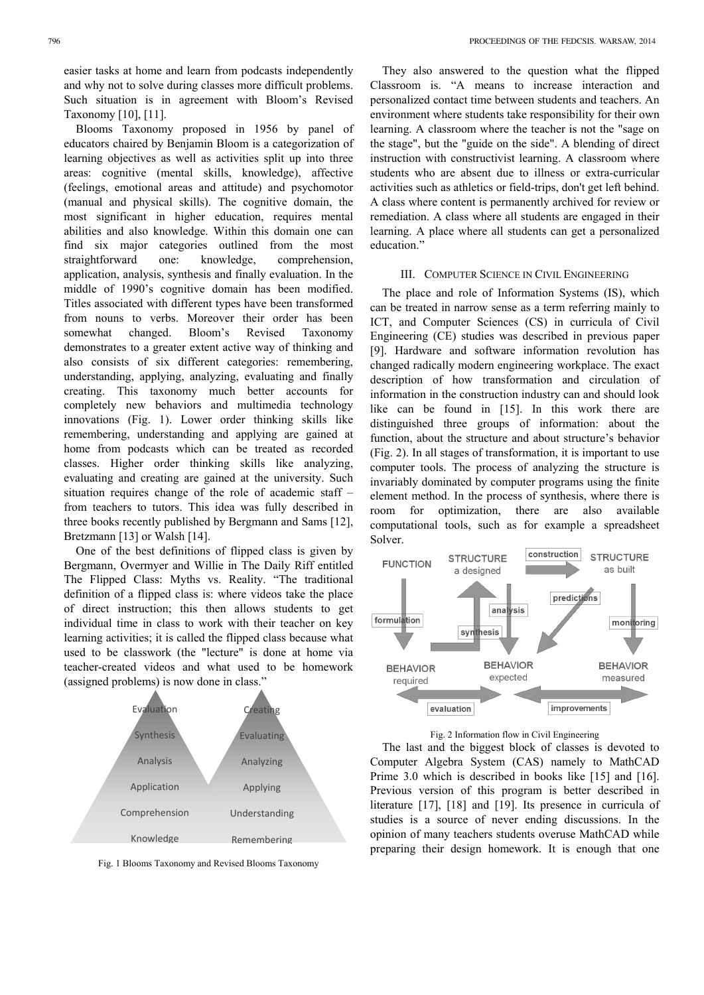easier tasks at home and learn from podcasts independently and why not to solve during classes more difficult problems. Such situation is in agreement with Bloom's Revised Taxonomy [10], [11].

Blooms Taxonomy proposed in 1956 by panel of educators chaired by Benjamin Bloom is a categorization of learning objectives as well as activities split up into three areas: cognitive (mental skills, knowledge), affective (feelings, emotional areas and attitude) and psychomotor (manual and physical skills). The cognitive domain, the most significant in higher education, requires mental abilities and also knowledge. Within this domain one can find six major categories outlined from the most straightforward one: knowledge, comprehension, application, analysis, synthesis and finally evaluation. In the middle of 1990's cognitive domain has been modified. Titles associated with different types have been transformed from nouns to verbs. Moreover their order has been somewhat changed. Bloom's Revised Taxonomy demonstrates to a greater extent active way of thinking and also consists of six different categories: remembering, understanding, applying, analyzing, evaluating and finally creating. This taxonomy much better accounts for completely new behaviors and multimedia technology innovations (Fig. 1). Lower order thinking skills like remembering, understanding and applying are gained at home from podcasts which can be treated as recorded classes. Higher order thinking skills like analyzing, evaluating and creating are gained at the university. Such situation requires change of the role of academic staff – from teachers to tutors. This idea was fully described in three books recently published by Bergmann and Sams [12], Bretzmann [13] or Walsh [14].

One of the best definitions of flipped class is given by Bergmann, Overmyer and Willie in The Daily Riff entitled The Flipped Class: Myths vs. Reality. "The traditional definition of a flipped class is: where videos take the place of direct instruction; this then allows students to get individual time in class to work with their teacher on key learning activities; it is called the flipped class because what used to be classwork (the "lecture" is done at home via teacher-created videos and what used to be homework (assigned problems) is now done in class."



Fig. 1 Blooms Taxonomy and Revised Blooms Taxonomy

They also answered to the question what the flipped Classroom is. "A means to increase interaction and personalized contact time between students and teachers. An environment where students take responsibility for their own learning. A classroom where the teacher is not the "sage on the stage", but the "guide on the side". A blending of direct instruction with constructivist learning. A classroom where students who are absent due to illness or extra-curricular activities such as athletics or field-trips, don't get left behind. A class where content is permanently archived for review or remediation. A class where all students are engaged in their learning. A place where all students can get a personalized education."

#### III. COMPUTER SCIENCE IN CIVIL ENGINEERING

The place and role of Information Systems (IS), which can be treated in narrow sense as a term referring mainly to ICT, and Computer Sciences (CS) in curricula of Civil Engineering (CE) studies was described in previous paper [9]. Hardware and software information revolution has changed radically modern engineering workplace. The exact description of how transformation and circulation of information in the construction industry can and should look like can be found in [15]. In this work there are distinguished three groups of information: about the function, about the structure and about structure's behavior (Fig. 2). In all stages of transformation, it is important to use computer tools. The process of analyzing the structure is invariably dominated by computer programs using the finite element method. In the process of synthesis, where there is room for optimization, there are also available computational tools, such as for example a spreadsheet Solver.



# Fig. 2 Information flow in Civil Engineering

The last and the biggest block of classes is devoted to Computer Algebra System (CAS) namely to MathCAD Prime 3.0 which is described in books like [15] and [16]. Previous version of this program is better described in literature [17], [18] and [19]. Its presence in curricula of studies is a source of never ending discussions. In the opinion of many teachers students overuse MathCAD while preparing their design homework. It is enough that one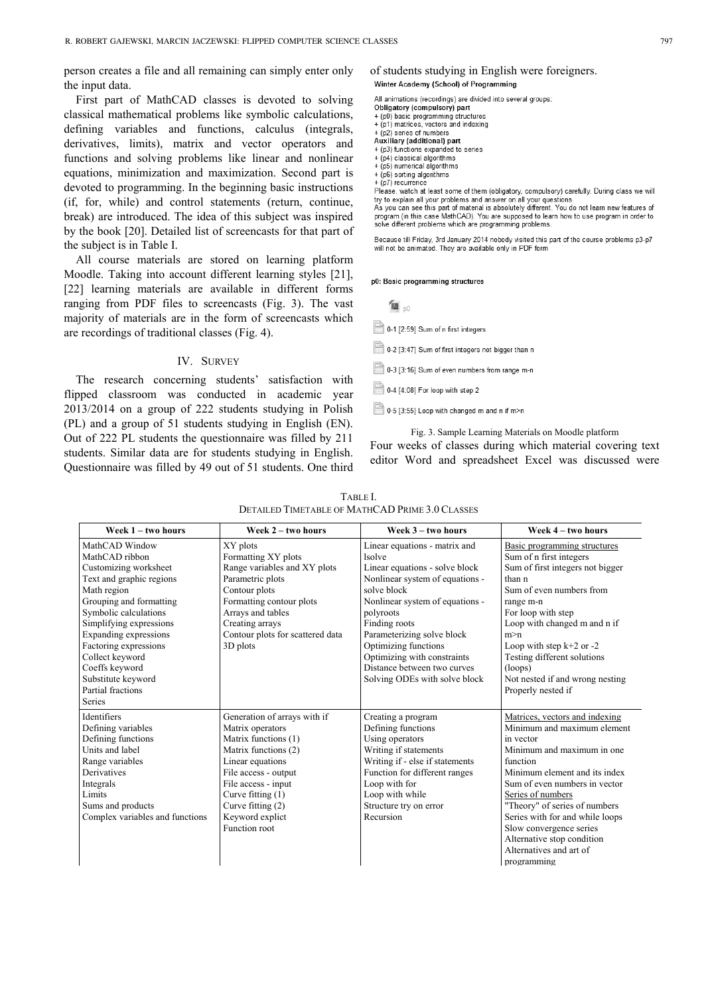person creates a file and all remaining can simply enter only the input data.

First part of MathCAD classes is devoted to solving classical mathematical problems like symbolic calculations, defining variables and functions, calculus (integrals, derivatives, limits), matrix and vector operators and functions and solving problems like linear and nonlinear equations, minimization and maximization. Second part is devoted to programming. In the beginning basic instructions (if, for, while) and control statements (return, continue, break) are introduced. The idea of this subject was inspired by the book [20]. Detailed list of screencasts for that part of the subject is in Table I.

All course materials are stored on learning platform Moodle. Taking into account different learning styles [21], [22] learning materials are available in different forms ranging from PDF files to screencasts (Fig. 3). The vast majority of materials are in the form of screencasts which are recordings of traditional classes (Fig. 4).

# IV. SURVEY

The research concerning students' satisfaction with flipped classroom was conducted in academic year 2013/2014 on a group of 222 students studying in Polish (PL) and a group of 51 students studying in English (EN). Out of 222 PL students the questionnaire was filled by 211 students. Similar data are for students studying in English. Questionnaire was filled by 49 out of 51 students. One third

# of students studying in English were foreigners.<br>Winter Academy (School) of Programming

All animations (recordings) are divided into several groups:

Obligatory (compulsory) part

- + (p0) basic programming structures<br>+ (p1) matrices, vectors and indexing
- (p2) series of numbers
- Auxiliary (additional) part
- + (p3) functions expanded to series
- + (p4) classical algorithms + (p5) numerical algorithms
- + (p6) sorting algorithms
- $+$  (p7) recurrence

Please, watch at least some of them (obligatory, compulsory) carefully. During class we will try to explain all your problems and answer on all your questions.

As you can see this part of material is absolutely different. You do not learn new features of program (in this case MathCAD). You are supposed to learn how to use program in order to solve different problems which are programming problems.

Because till Friday, 3rd January 2014 nobody visited this part of the course problems p3-p7 will not be animated. They are available only in PDF form

p0: Basic programming structures

 $\mathbf{u}$ <sub>p0</sub>

0-1 [2:59] Sum of n first integers

0-2 [3:47] Sum of first integers not bigger than n

- 0-3 [3:16] Sum of even numbers from range m-n
- $\Box$  0-4 [4:08] For loop with step 2
- 0-5 [3:55] Loop with changed m and n if m>n

Fig. 3. Sample Learning Materials on Moodle platform Four weeks of classes during which material covering text editor Word and spreadsheet Excel was discussed were

| TABLE L                                                |  |
|--------------------------------------------------------|--|
| <b>DETAILED TIMETABLE OF MATHCAD PRIME 3.0 CLASSES</b> |  |

| Week $1 - two hours$            | Week $2 - two hours$             | Week $3 - two hours$            | Week 4 – two hours               |
|---------------------------------|----------------------------------|---------------------------------|----------------------------------|
| MathCAD Window                  | XY plots                         | Linear equations - matrix and   | Basic programming structures     |
| MathCAD ribbon                  | Formatting XY plots              | <b>lsolve</b>                   | Sum of n first integers          |
| Customizing worksheet           | Range variables and XY plots     | Linear equations - solve block  | Sum of first integers not bigger |
| Text and graphic regions        | Parametric plots                 | Nonlinear system of equations - | than n                           |
| Math region                     | Contour plots                    | solve block                     | Sum of even numbers from         |
| Grouping and formatting         | Formatting contour plots         | Nonlinear system of equations - | range m-n                        |
| Symbolic calculations           | Arrays and tables                | polyroots                       | For loop with step               |
| Simplifying expressions         | Creating arrays                  | Finding roots                   | Loop with changed m and n if     |
| Expanding expressions           | Contour plots for scattered data | Parameterizing solve block      | m > n                            |
| Factoring expressions           | 3D plots                         | Optimizing functions            | Loop with step $k+2$ or -2       |
| Collect keyword                 |                                  | Optimizing with constraints     | Testing different solutions      |
| Coeffs keyword                  |                                  | Distance between two curves     | (loops)                          |
| Substitute keyword              |                                  | Solving ODEs with solve block   | Not nested if and wrong nesting  |
| Partial fractions               |                                  |                                 | Properly nested if               |
| Series                          |                                  |                                 |                                  |
| Identifiers                     | Generation of arrays with if     | Creating a program              | Matrices, vectors and indexing   |
| Defining variables              | Matrix operators                 | Defining functions              | Minimum and maximum element      |
| Defining functions              | Matrix functions (1)             | Using operators                 | in vector                        |
| Units and label                 | Matrix functions (2)             | Writing if statements           | Minimum and maximum in one       |
| Range variables                 | Linear equations                 | Writing if - else if statements | function                         |
| Derivatives                     | File access - output             | Function for different ranges   | Minimum element and its index    |
| Integrals                       | File access - input              | Loop with for                   | Sum of even numbers in vector    |
| Limits                          | Curve fitting $(1)$              | Loop with while                 | Series of numbers                |
| Sums and products               | Curve fitting $(2)$              | Structure try on error          | "Theory" of series of numbers    |
| Complex variables and functions | Keyword explict                  | Recursion                       | Series with for and while loops  |
|                                 | Function root                    |                                 | Slow convergence series          |
|                                 |                                  |                                 | Alternative stop condition       |
|                                 |                                  |                                 | Alternatives and art of          |
|                                 |                                  |                                 | programming                      |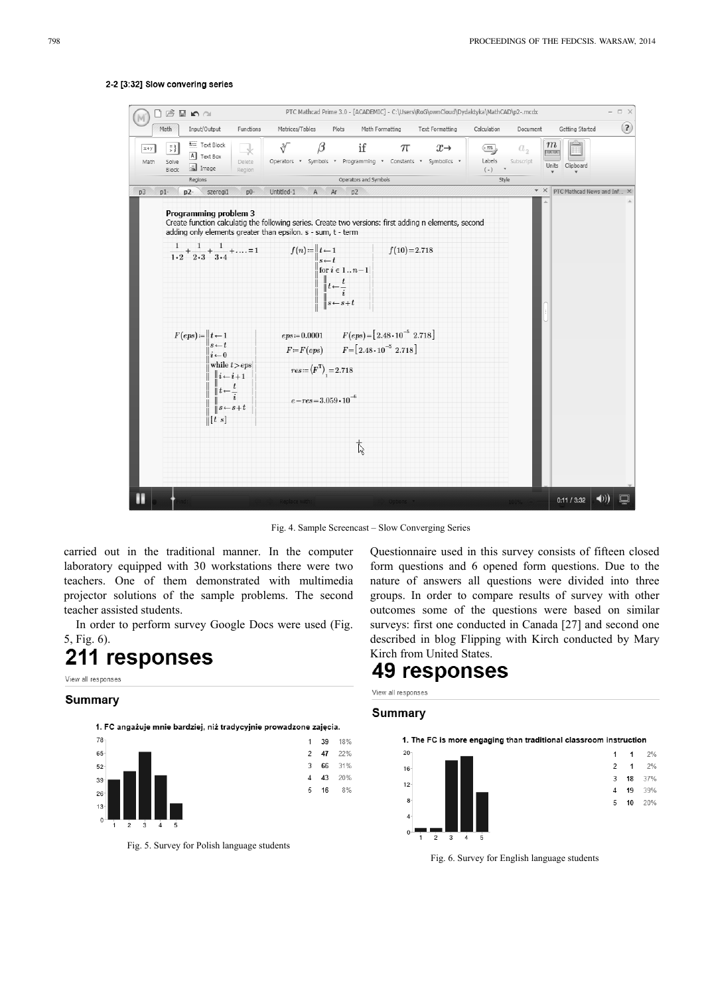

# 2-2 [3:32] Slow convering series

Fig. 4. Sample Screencast – Slow Converging Series

carried out in the traditional manner. In the computer laboratory equipped with 30 workstations there were two teachers. One of them demonstrated with multimedia projector solutions of the sample problems. The second teacher assisted students.

In order to perform survey Google Docs were used (Fig. 5, Fig. 6).

# 211 responses

View all responses

# **Summary**



Fig. 5. Survey for Polish language students

Questionnaire used in this survey consists of fifteen closed form questions and 6 opened form questions. Due to the nature of answers all questions were divided into three groups. In order to compare results of survey with other outcomes some of the questions were based on similar surveys: first one conducted in Canada [27] and second one described in blog Flipping with Kirch conducted by Mary Kirch from United States.

# **49 responses**

View all responses

# **Summary**



Fig. 6. Survey for English language students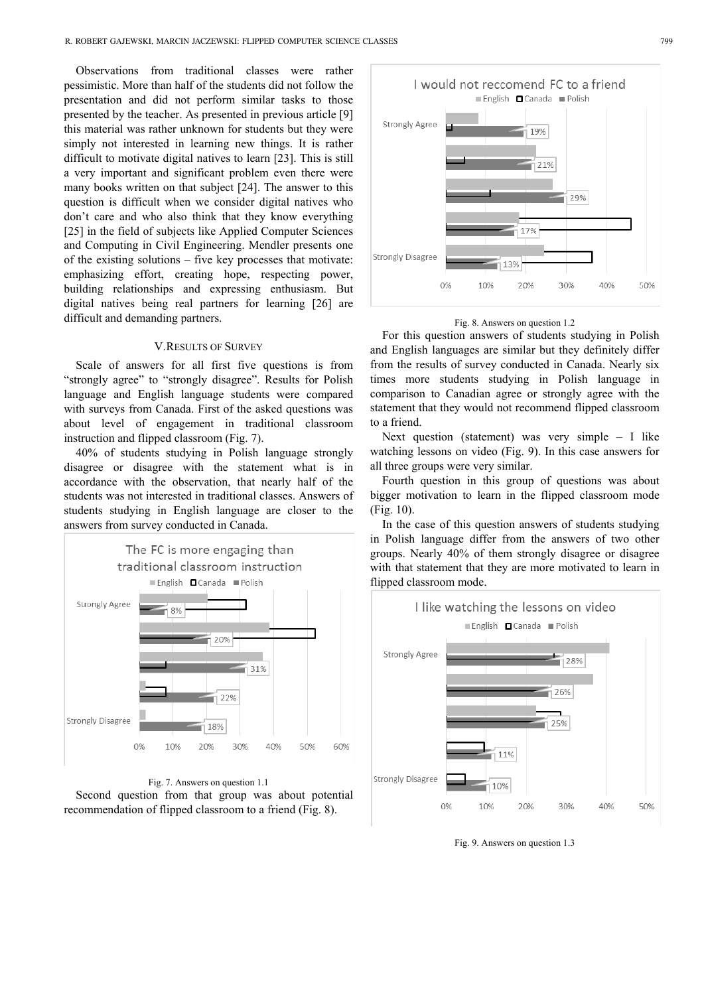Observations from traditional classes were rather pessimistic. More than half of the students did not follow the presentation and did not perform similar tasks to those presented by the teacher. As presented in previous article [9] this material was rather unknown for students but they were simply not interested in learning new things. It is rather difficult to motivate digital natives to learn [23]. This is still a very important and significant problem even there were many books written on that subject [24]. The answer to this question is difficult when we consider digital natives who don't care and who also think that they know everything [25] in the field of subjects like Applied Computer Sciences and Computing in Civil Engineering. Mendler presents one of the existing solutions – five key processes that motivate: emphasizing effort, creating hope, respecting power, building relationships and expressing enthusiasm. But digital natives being real partners for learning [26] are difficult and demanding partners.

# **V.RESULTS OF SURVEY**

Scale of answers for all first five questions is from "strongly agree" to "strongly disagree". Results for Polish language and English language students were compared with surveys from Canada. First of the asked questions was about level of engagement in traditional classroom instruction and flipped classroom (Fig. 7).

40% of students studying in Polish language strongly disagree or disagree with the statement what is in accordance with the observation, that nearly half of the students was not interested in traditional classes. Answers of students studying in English language are closer to the answers from survey conducted in Canada.

![](_page_4_Figure_5.jpeg)

![](_page_4_Figure_6.jpeg)

![](_page_4_Figure_7.jpeg)

## Fig. 8. Answers on question 1.2

For this question answers of students studying in Polish and English languages are similar but they definitely differ from the results of survey conducted in Canada. Nearly six times more students studying in Polish language in comparison to Canadian agree or strongly agree with the statement that they would not recommend flipped classroom to a friend.

Next question (statement) was very simple – I like watching lessons on video (Fig. 9). In this case answers for all three groups were very similar.

Fourth question in this group of questions was about bigger motivation to learn in the flipped classroom mode (Fig. 10).

In the case of this question answers of students studying in Polish language differ from the answers of two other groups. Nearly 40% of them strongly disagree or disagree with that statement that they are more motivated to learn in flipped classroom mode.

![](_page_4_Figure_13.jpeg)

Fig. 9. Answers on question 1.3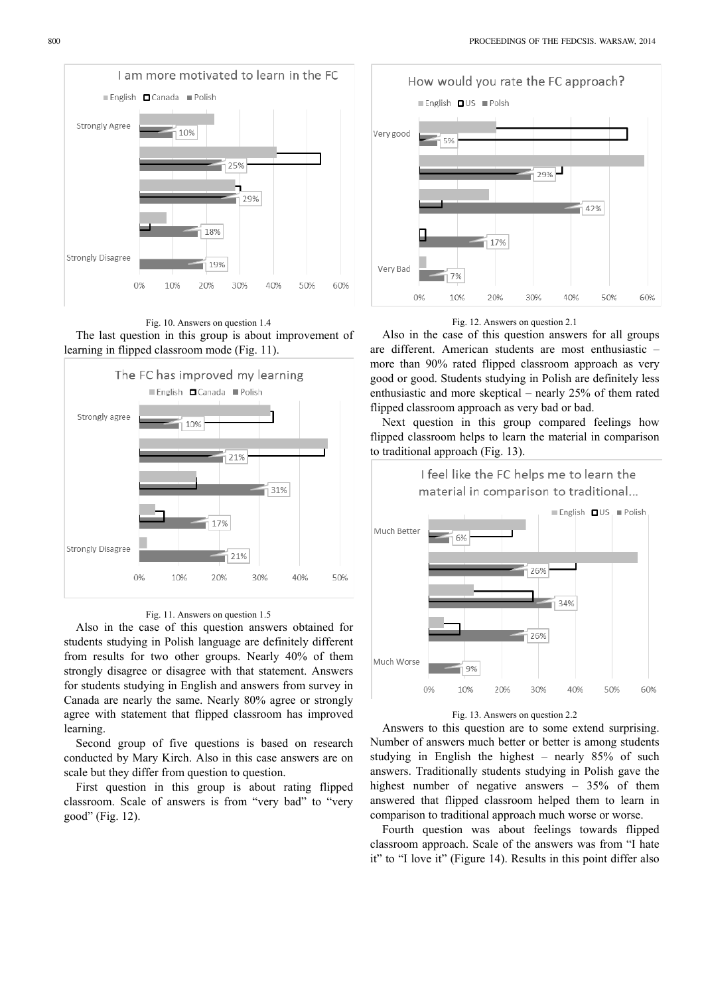![](_page_5_Figure_1.jpeg)

![](_page_5_Figure_2.jpeg)

![](_page_5_Figure_3.jpeg)

## Fig. 11. Answers on question 1.5

Also in the case of this question answers obtained for students studying in Polish language are definitely different from results for two other groups. Nearly 40% of them strongly disagree or disagree with that statement. Answers for students studying in English and answers from survey in Canada are nearly the same. Nearly 80% agree or strongly agree with statement that flipped classroom has improved learning.

Second group of five questions is based on research conducted by Mary Kirch. Also in this case answers are on scale but they differ from question to question.

First question in this group is about rating flipped classroom. Scale of answers is from "very bad" to "very good" (Fig. 12).

![](_page_5_Figure_8.jpeg)

#### Fig. 12. Answers on question 2.1

Also in the case of this question answers for all groups are different. American students are most enthusiastic – more than 90% rated flipped classroom approach as very good or good. Students studying in Polish are definitely less enthusiastic and more skeptical – nearly 25% of them rated flipped classroom approach as very bad or bad.

Next question in this group compared feelings how flipped classroom helps to learn the material in comparison to traditional approach (Fig. 13).

![](_page_5_Figure_12.jpeg)

#### Fig. 13. Answers on question 2.2

Answers to this question are to some extend surprising. Number of answers much better or better is among students studying in English the highest – nearly 85% of such answers. Traditionally students studying in Polish gave the highest number of negative answers – 35% of them answered that flipped classroom helped them to learn in comparison to traditional approach much worse or worse.

Fourth question was about feelings towards flipped classroom approach. Scale of the answers was from "I hate it" to "I love it" (Figure 14). Results in this point differ also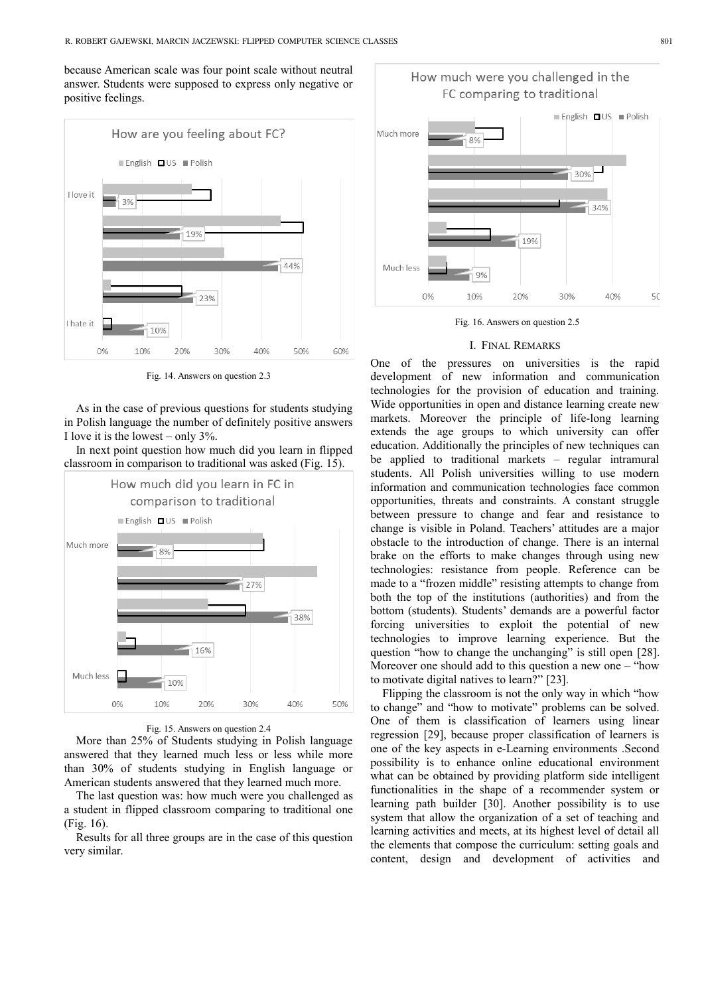because American scale was four point scale without neutral answer. Students were supposed to express only negative or positive feelings.

![](_page_6_Figure_2.jpeg)

Fig. 14. Answers on question 2.3

As in the case of previous questions for students studying in Polish language the number of definitely positive answers I love it is the lowest – only 3%.

In next point question how much did you learn in flipped classroom in comparison to traditional was asked (Fig. 15).

![](_page_6_Figure_6.jpeg)

Fig. 15. Answers on question 2.4

More than 25% of Students studying in Polish language answered that they learned much less or less while more than 30% of students studying in English language or American students answered that they learned much more.

The last question was: how much were you challenged as a student in flipped classroom comparing to traditional one (Fig. 16).

Results for all three groups are in the case of this question very similar.

![](_page_6_Figure_11.jpeg)

# How much were you challenged in the FC comparing to traditional

Fig. 16. Answers on question 2.5

#### I. FINAL REMARKS

One of the pressures on universities is the rapid development of new information and communication technologies for the provision of education and training. Wide opportunities in open and distance learning create new markets. Moreover the principle of life-long learning extends the age groups to which university can offer education. Additionally the principles of new techniques can be applied to traditional markets – regular intramural students. All Polish universities willing to use modern information and communication technologies face common opportunities, threats and constraints. A constant struggle between pressure to change and fear and resistance to change is visible in Poland. Teachers' attitudes are a major obstacle to the introduction of change. There is an internal brake on the efforts to make changes through using new technologies: resistance from people. Reference can be made to a "frozen middle" resisting attempts to change from both the top of the institutions (authorities) and from the bottom (students). Students' demands are a powerful factor forcing universities to exploit the potential of new technologies to improve learning experience. But the question "how to change the unchanging" is still open [28]. Moreover one should add to this question a new one – "how to motivate digital natives to learn?" [23].

Flipping the classroom is not the only way in which "how to change" and "how to motivate" problems can be solved. One of them is classification of learners using linear regression [29], because proper classification of learners is one of the key aspects in e-Learning environments .Second possibility is to enhance online educational environment what can be obtained by providing platform side intelligent functionalities in the shape of a recommender system or learning path builder [30]. Another possibility is to use system that allow the organization of a set of teaching and learning activities and meets, at its highest level of detail all the elements that compose the curriculum: setting goals and content, design and development of activities and